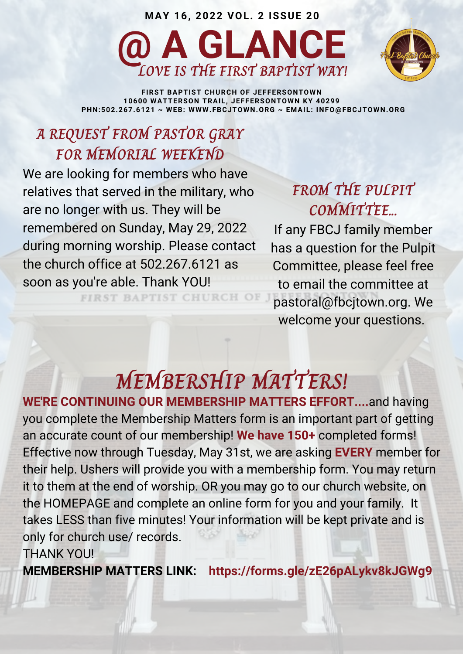



**FIRST BAPTIST CHURCH OF JEFFERSONTOWN 10600 WATTERSON TRAIL, JEFFERSONTOWN KY 40299 PHN:502.267.6121 ~ WEB: WWW.FBCJTOWN.ORG ~ EMAIL: INFO@FBCJTOWN.ORG**

### **A REQUEST FROM PASTOR GRAY FOR MEMORIAL WEEKEND**

We are looking for members who have relatives that served in the military, who are no longer with us. They will be remembered on Sunday, May 29, 2022 during morning worship. Please contact the church office at 502.267.6121 as soon as you're able. Thank YOU!

FIRST BAPTIST CHURCH OF

### **FROM THE PULPIT COMMITTEE...**

If any FBCJ family member has a question for the Pulpit Committee, please feel free to email the committee at [pastoral@fbcjtown.org](mailto:pastoral@fbcjtown.org). We welcome your questions.

### **MEMBERSHIP MATTERS!**

**WE'RE CONTINUING OUR MEMBERSHIP MATTERS EFFORT....**and having you complete the Membership Matters form is an important part of getting an accurate count of our membership! **We have 150+** completed forms! Effective now through Tuesday, May 31st, we are asking **EVERY** member for their help. Ushers will provide you with a membership form. You may return it to them at the end of worship. OR you may go to our church website, on the HOMEPAGE and complete an online form for you and your family. It takes LESS than five minutes! Your information will be kept private and is only for church use/ records. THANK YOU!

**MEMBERSHIP MATTERS LINK: https://forms.gle/zE26pALykv8kJGWg9**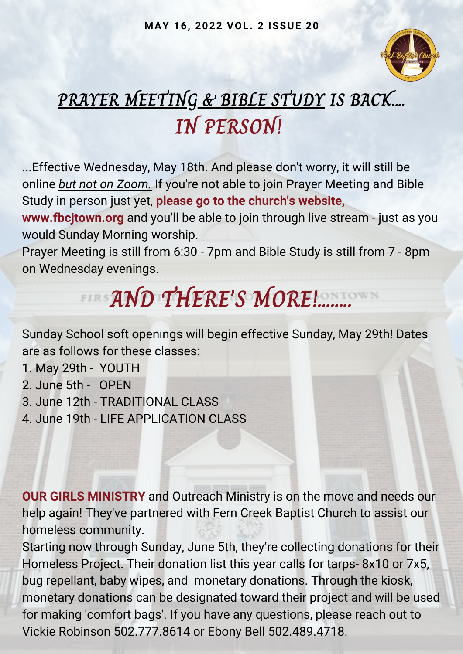

## **PRAYER MEETING & BIBLE STUDY IS BACK.... IN PERSON!**

...Effective Wednesday, May 18th. And please don't worry, it will still be online *but not on Zoom.* If you're not able to join Prayer Meeting and Bible Study in person just yet, **please go to the church's website,**

**www.fbcjtown.org** and you'll be able to join through live stream - just as you would Sunday Morning worship.

Prayer Meeting is still from 6:30 - 7pm and Bible Study is still from 7 - 8pm on Wednesday evenings.

# **AND THERE'S MORE!........**

Sunday School soft openings will begin effective Sunday, May 29th! Dates are as follows for these classes:

1. May 29th - YOUTH

2. June 5th - OPEN

3. June 12th - TRADITIONAL CLASS

4. June 19th - LIFE APPLICATION CLASS

**OUR GIRLS MINISTRY** and Outreach Ministry is on the move and needs our help again! They've partnered with Fern Creek Baptist Church to assist our homeless community.

Starting now through Sunday, June 5th, they're collecting donations for their Homeless Project. Their donation list this year calls for tarps- 8x10 or 7x5, bug repellant, baby wipes, and monetary donations. Through the kiosk, monetary donations can be designated toward their project and will be used for making 'comfort bags'. If you have any questions, please reach out to Vickie Robinson 502.777.8614 or Ebony Bell 502.489.4718.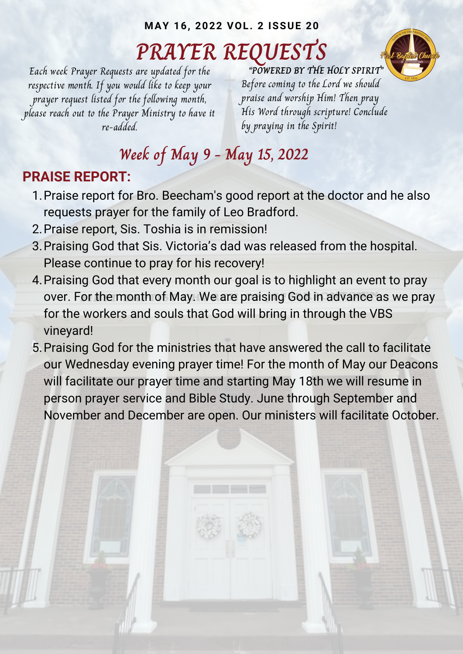## **PRAYER REQUESTS**



Each week Prayer Requests are updated for the respective month. If you would like to keep your prayer request listed for the following month, please reach out to the Prayer Ministry to have it re-added.

**"POWERED BY THE HOLY SPIRIT"** Before coming to the Lord we should praise and worship Him! Then pray His Word through scripture! Conclude by praying in the Spirit!

### **Week of May 9 - May 15, 2022**

#### **PRAISE REPORT:**

- 1. Praise report for Bro. Beecham's good report at the doctor and he also requests prayer for the family of Leo Bradford.
- 2. Praise report, Sis. Toshia is in remission!
- Praising God that Sis. Victoria's dad was released from the hospital. 3. Please continue to pray for his recovery!
- Praising God that every month our goal is to highlight an event to pray 4. over. For the month of May. We are praising God in advance as we pray for the workers and souls that God will bring in through the VBS vineyard!
- 5. Praising God for the ministries that have answered the call to facilitate our Wednesday evening prayer time! For the month of May our Deacons will facilitate our prayer time and starting May 18th we will resume in person prayer service and Bible Study. June through September and November and December are open. Our ministers will facilitate October.